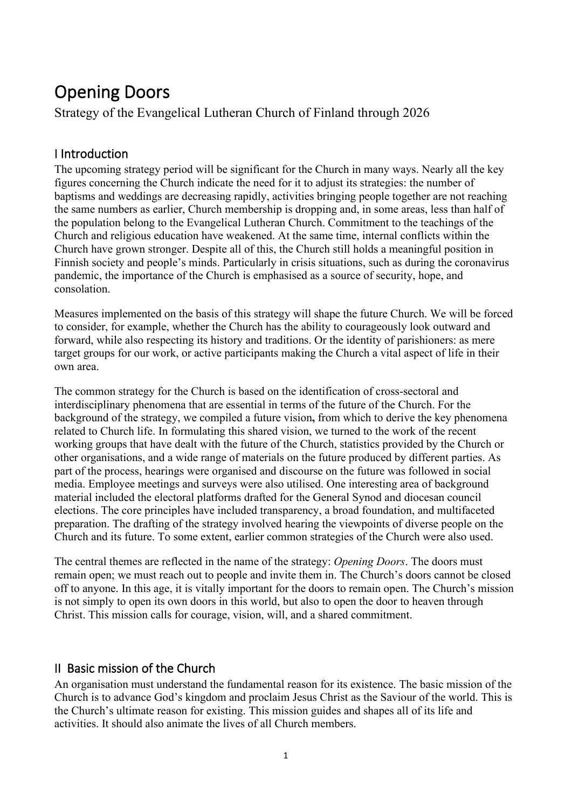# Opening Doors

Strategy of the Evangelical Lutheran Church of Finland through 2026

# I Introduction

The upcoming strategy period will be significant for the Church in many ways. Nearly all the key figures concerning the Church indicate the need for it to adjust its strategies: the number of baptisms and weddings are decreasing rapidly, activities bringing people together are not reaching the same numbers as earlier, Church membership is dropping and, in some areas, less than half of the population belong to the Evangelical Lutheran Church. Commitment to the teachings of the Church and religious education have weakened. At the same time, internal conflicts within the Church have grown stronger. Despite all of this, the Church still holds a meaningful position in Finnish society and people's minds. Particularly in crisis situations, such as during the coronavirus pandemic, the importance of the Church is emphasised as a source of security, hope, and consolation.

Measures implemented on the basis of this strategy will shape the future Church. We will be forced to consider, for example, whether the Church has the ability to courageously look outward and forward, while also respecting its history and traditions. Or the identity of parishioners: as mere target groups for our work, or active participants making the Church a vital aspect of life in their own area.

The common strategy for the Church is based on the identification of cross-sectoral and interdisciplinary phenomena that are essential in terms of the future of the Church. For the background of the strategy, we compiled a future vision**,** from which to derive the key phenomena related to Church life. In formulating this shared vision, we turned to the work of the recent working groups that have dealt with the future of the Church, statistics provided by the Church or other organisations, and a wide range of materials on the future produced by different parties. As part of the process, hearings were organised and discourse on the future was followed in social media. Employee meetings and surveys were also utilised. One interesting area of background material included the electoral platforms drafted for the General Synod and diocesan council elections. The core principles have included transparency, a broad foundation, and multifaceted preparation. The drafting of the strategy involved hearing the viewpoints of diverse people on the Church and its future. To some extent, earlier common strategies of the Church were also used.

The central themes are reflected in the name of the strategy: *Opening Doors*. The doors must remain open; we must reach out to people and invite them in. The Church's doors cannot be closed off to anyone. In this age, it is vitally important for the doors to remain open. The Church's mission is not simply to open its own doors in this world, but also to open the door to heaven through Christ. This mission calls for courage, vision, will, and a shared commitment.

# II Basic mission of the Church

An organisation must understand the fundamental reason for its existence. The basic mission of the Church is to advance God's kingdom and proclaim Jesus Christ as the Saviour of the world. This is the Church's ultimate reason for existing. This mission guides and shapes all of its life and activities. It should also animate the lives of all Church members.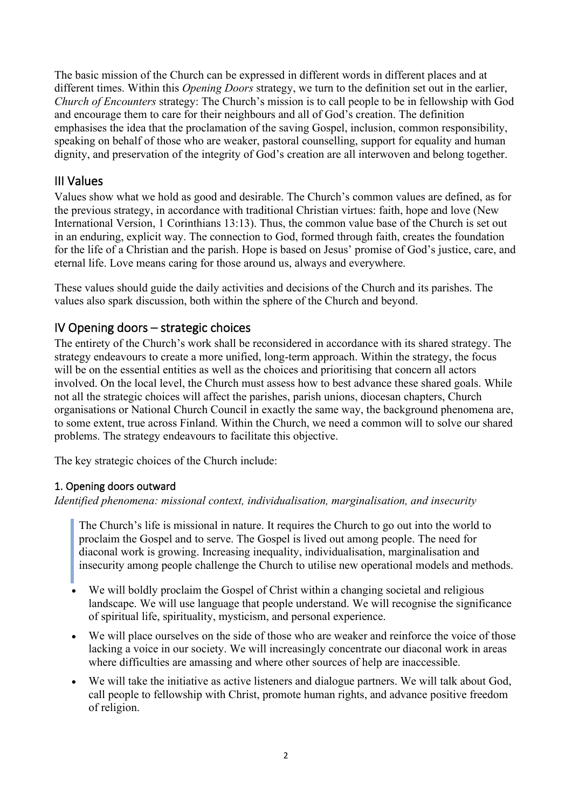The basic mission of the Church can be expressed in different words in different places and at different times. Within this *Opening Doors* strategy, we turn to the definition set out in the earlier, *Church of Encounters* strategy: The Church's mission is to call people to be in fellowship with God and encourage them to care for their neighbours and all of God's creation. The definition emphasises the idea that the proclamation of the saving Gospel, inclusion, common responsibility, speaking on behalf of those who are weaker, pastoral counselling, support for equality and human dignity, and preservation of the integrity of God's creation are all interwoven and belong together.

# III Values

Values show what we hold as good and desirable. The Church's common values are defined, as for the previous strategy, in accordance with traditional Christian virtues: faith, hope and love (New International Version, 1 Corinthians 13:13). Thus, the common value base of the Church is set out in an enduring, explicit way. The connection to God, formed through faith, creates the foundation for the life of a Christian and the parish. Hope is based on Jesus' promise of God's justice, care, and eternal life. Love means caring for those around us, always and everywhere.

These values should guide the daily activities and decisions of the Church and its parishes. The values also spark discussion, both within the sphere of the Church and beyond.

# IV Opening doors – strategic choices

The entirety of the Church's work shall be reconsidered in accordance with its shared strategy. The strategy endeavours to create a more unified, long-term approach. Within the strategy, the focus will be on the essential entities as well as the choices and prioritising that concern all actors involved. On the local level, the Church must assess how to best advance these shared goals. While not all the strategic choices will affect the parishes, parish unions, diocesan chapters, Church organisations or National Church Council in exactly the same way, the background phenomena are, to some extent, true across Finland. Within the Church, we need a common will to solve our shared problems. The strategy endeavours to facilitate this objective.

The key strategic choices of the Church include:

## 1. Opening doors outward

*Identified phenomena: missional context, individualisation, marginalisation, and insecurity*

The Church's life is missional in nature. It requires the Church to go out into the world to proclaim the Gospel and to serve. The Gospel is lived out among people. The need for diaconal work is growing. Increasing inequality, individualisation, marginalisation and insecurity among people challenge the Church to utilise new operational models and methods.

- We will boldly proclaim the Gospel of Christ within a changing societal and religious landscape. We will use language that people understand. We will recognise the significance of spiritual life, spirituality, mysticism, and personal experience.
- We will place ourselves on the side of those who are weaker and reinforce the voice of those lacking a voice in our society. We will increasingly concentrate our diaconal work in areas where difficulties are amassing and where other sources of help are inaccessible.
- We will take the initiative as active listeners and dialogue partners. We will talk about God, call people to fellowship with Christ, promote human rights, and advance positive freedom of religion.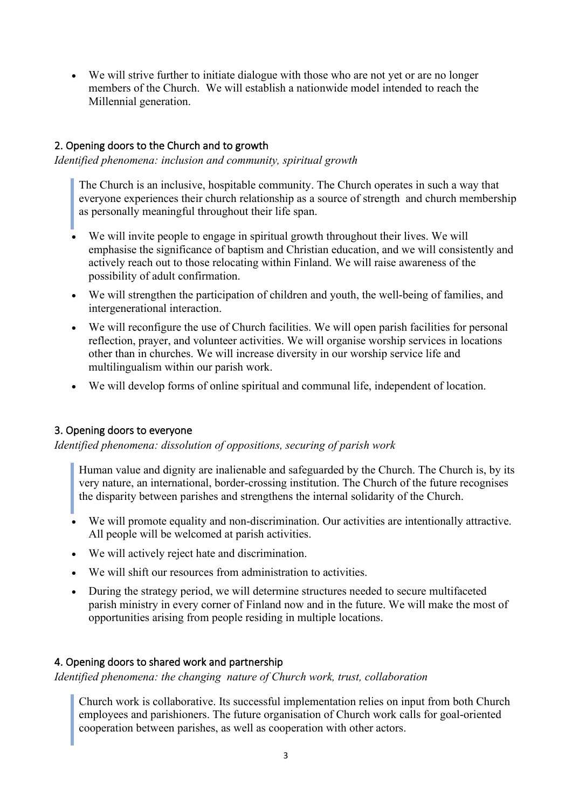• We will strive further to initiate dialogue with those who are not yet or are no longer members of the Church. We will establish a nationwide model intended to reach the Millennial generation.

# 2. Opening doors to the Church and to growth

*Identified phenomena: inclusion and community, spiritual growth*

The Church is an inclusive, hospitable community. The Church operates in such a way that everyone experiences their church relationship as a source of strength and church membership as personally meaningful throughout their life span.

- We will invite people to engage in spiritual growth throughout their lives. We will emphasise the significance of baptism and Christian education, and we will consistently and actively reach out to those relocating within Finland. We will raise awareness of the possibility of adult confirmation.
- We will strengthen the participation of children and youth, the well-being of families, and intergenerational interaction.
- We will reconfigure the use of Church facilities. We will open parish facilities for personal reflection, prayer, and volunteer activities. We will organise worship services in locations other than in churches. We will increase diversity in our worship service life and multilingualism within our parish work.
- We will develop forms of online spiritual and communal life, independent of location.

## 3. Opening doors to everyone

*Identified phenomena: dissolution of oppositions, securing of parish work*

Human value and dignity are inalienable and safeguarded by the Church. The Church is, by its very nature, an international, border-crossing institution. The Church of the future recognises the disparity between parishes and strengthens the internal solidarity of the Church.

- We will promote equality and non-discrimination. Our activities are intentionally attractive. All people will be welcomed at parish activities.
- We will actively reject hate and discrimination.
- We will shift our resources from administration to activities.
- During the strategy period, we will determine structures needed to secure multifaceted parish ministry in every corner of Finland now and in the future. We will make the most of opportunities arising from people residing in multiple locations.

## 4. Opening doors to shared work and partnership

*Identified phenomena: the changing nature of Church work, trust, collaboration*

Church work is collaborative. Its successful implementation relies on input from both Church employees and parishioners. The future organisation of Church work calls for goal-oriented cooperation between parishes, as well as cooperation with other actors.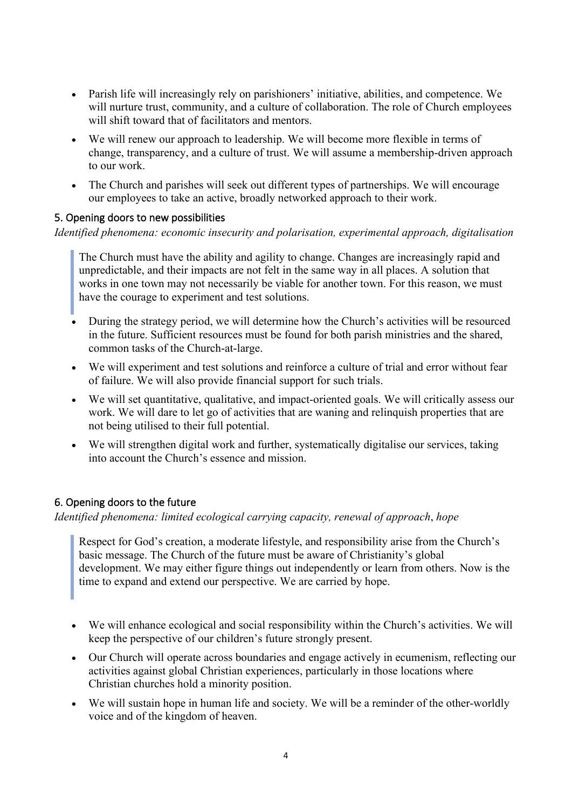- Parish life will increasingly rely on parishioners' initiative, abilities, and competence. We will nurture trust, community, and a culture of collaboration. The role of Church employees will shift toward that of facilitators and mentors.
- We will renew our approach to leadership. We will become more flexible in terms of change, transparency, and a culture of trust. We will assume a membership-driven approach to our work.
- The Church and parishes will seek out different types of partnerships. We will encourage our employees to take an active, broadly networked approach to their work.

#### 5. Opening doors to new possibilities

*Identified phenomena: economic insecurity and polarisation, experimental approach, digitalisation*

The Church must have the ability and agility to change. Changes are increasingly rapid and unpredictable, and their impacts are not felt in the same way in all places. A solution that works in one town may not necessarily be viable for another town. For this reason, we must have the courage to experiment and test solutions.

- During the strategy period, we will determine how the Church's activities will be resourced in the future. Sufficient resources must be found for both parish ministries and the shared, common tasks of the Church-at-large.
- We will experiment and test solutions and reinforce a culture of trial and error without fear of failure. We will also provide financial support for such trials.
- We will set quantitative, qualitative, and impact-oriented goals. We will critically assess our work. We will dare to let go of activities that are waning and relinquish properties that are not being utilised to their full potential.
- We will strengthen digital work and further, systematically digitalise our services, taking into account the Church's essence and mission.

## 6. Opening doors to the future

*Identified phenomena: limited ecological carrying capacity, renewal of approach*, *hope*

Respect for God's creation, a moderate lifestyle, and responsibility arise from the Church's basic message. The Church of the future must be aware of Christianity's global development. We may either figure things out independently or learn from others. Now is the time to expand and extend our perspective. We are carried by hope.

- We will enhance ecological and social responsibility within the Church's activities. We will keep the perspective of our children's future strongly present.
- Our Church will operate across boundaries and engage actively in ecumenism, reflecting our activities against global Christian experiences, particularly in those locations where Christian churches hold a minority position.
- We will sustain hope in human life and society. We will be a reminder of the other-worldly voice and of the kingdom of heaven.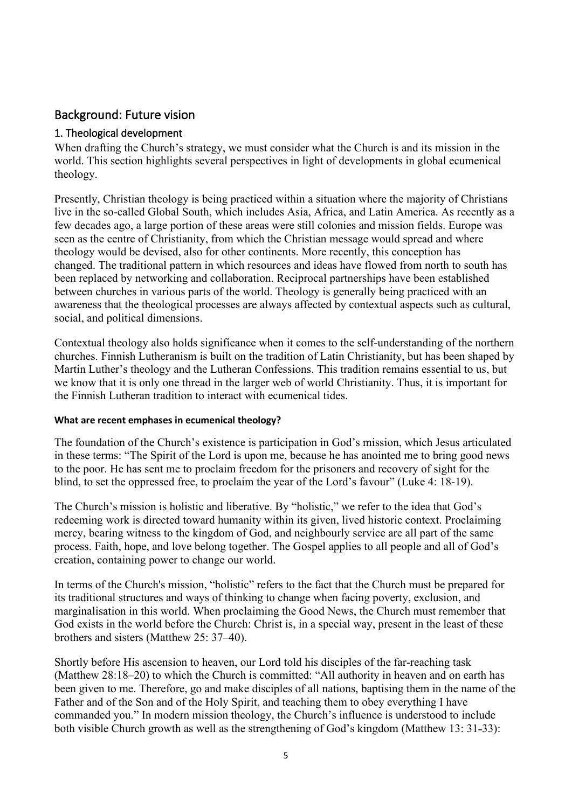# Background: Future vision

## 1. Theological development

When drafting the Church's strategy, we must consider what the Church is and its mission in the world. This section highlights several perspectives in light of developments in global ecumenical theology.

Presently, Christian theology is being practiced within a situation where the majority of Christians live in the so-called Global South, which includes Asia, Africa, and Latin America. As recently as a few decades ago, a large portion of these areas were still colonies and mission fields. Europe was seen as the centre of Christianity, from which the Christian message would spread and where theology would be devised, also for other continents. More recently, this conception has changed. The traditional pattern in which resources and ideas have flowed from north to south has been replaced by networking and collaboration. Reciprocal partnerships have been established between churches in various parts of the world. Theology is generally being practiced with an awareness that the theological processes are always affected by contextual aspects such as cultural, social, and political dimensions.

Contextual theology also holds significance when it comes to the self-understanding of the northern churches. Finnish Lutheranism is built on the tradition of Latin Christianity, but has been shaped by Martin Luther's theology and the Lutheran Confessions. This tradition remains essential to us, but we know that it is only one thread in the larger web of world Christianity. Thus, it is important for the Finnish Lutheran tradition to interact with ecumenical tides.

#### **What are recent emphases in ecumenical theology?**

The foundation of the Church's existence is participation in God's mission, which Jesus articulated in these terms: "The Spirit of the Lord is upon me, because he has anointed me to bring good news to the poor. He has sent me to proclaim freedom for the prisoners and recovery of sight for the blind, to set the oppressed free, to proclaim the year of the Lord's favour" (Luke 4: 18-19).

The Church's mission is holistic and liberative. By "holistic," we refer to the idea that God's redeeming work is directed toward humanity within its given, lived historic context. Proclaiming mercy, bearing witness to the kingdom of God, and neighbourly service are all part of the same process. Faith, hope, and love belong together. The Gospel applies to all people and all of God's creation, containing power to change our world.

In terms of the Church's mission, "holistic" refers to the fact that the Church must be prepared for its traditional structures and ways of thinking to change when facing poverty, exclusion, and marginalisation in this world. When proclaiming the Good News, the Church must remember that God exists in the world before the Church: Christ is, in a special way, present in the least of these brothers and sisters (Matthew 25: 37–40).

Shortly before His ascension to heaven, our Lord told his disciples of the far-reaching task (Matthew 28:18–20) to which the Church is committed: "All authority in heaven and on earth has been given to me. Therefore, go and make disciples of all nations, baptising them in the name of the Father and of the Son and of the Holy Spirit, and teaching them to obey everything I have commanded you." In modern mission theology, the Church's influence is understood to include both visible Church growth as well as the strengthening of God's kingdom (Matthew 13: 31-33):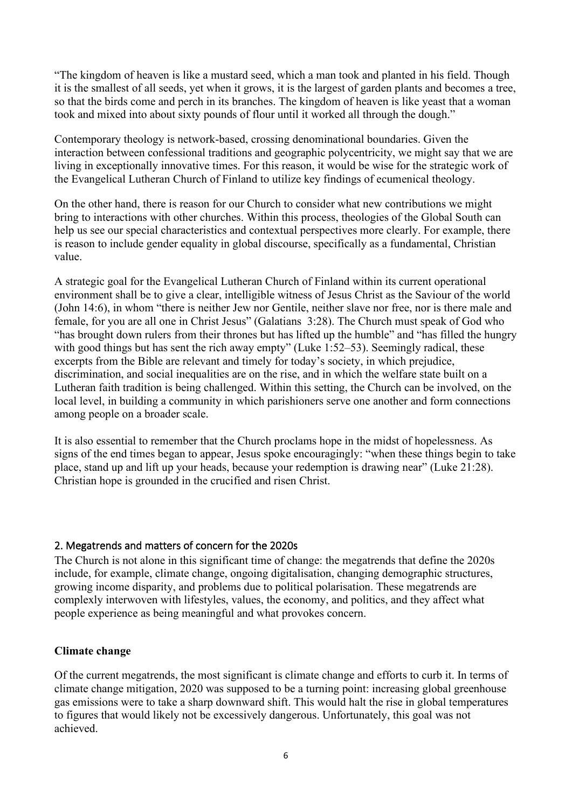"The kingdom of heaven is like a mustard seed, which a man took and planted in his field. Though it is the smallest of all seeds, yet when it grows, it is the largest of garden plants and becomes a tree, so that the birds come and perch in its branches. The kingdom of heaven is like yeast that a woman took and mixed into about sixty pounds of flour until it worked all through the dough."

Contemporary theology is network-based, crossing denominational boundaries. Given the interaction between confessional traditions and geographic polycentricity, we might say that we are living in exceptionally innovative times. For this reason, it would be wise for the strategic work of the Evangelical Lutheran Church of Finland to utilize key findings of ecumenical theology.

On the other hand, there is reason for our Church to consider what new contributions we might bring to interactions with other churches. Within this process, theologies of the Global South can help us see our special characteristics and contextual perspectives more clearly. For example, there is reason to include gender equality in global discourse, specifically as a fundamental, Christian value.

A strategic goal for the Evangelical Lutheran Church of Finland within its current operational environment shall be to give a clear, intelligible witness of Jesus Christ as the Saviour of the world (John 14:6), in whom "there is neither Jew nor Gentile, neither slave nor free, nor is there male and female, for you are all one in Christ Jesus" (Galatians 3:28). The Church must speak of God who "has brought down rulers from their thrones but has lifted up the humble" and "has filled the hungry with good things but has sent the rich away empty" (Luke 1:52–53). Seemingly radical, these excerpts from the Bible are relevant and timely for today's society, in which prejudice, discrimination, and social inequalities are on the rise, and in which the welfare state built on a Lutheran faith tradition is being challenged. Within this setting, the Church can be involved, on the local level, in building a community in which parishioners serve one another and form connections among people on a broader scale.

It is also essential to remember that the Church proclams hope in the midst of hopelessness. As signs of the end times began to appear, Jesus spoke encouragingly: "when these things begin to take place, stand up and lift up your heads, because your redemption is drawing near" (Luke 21:28). Christian hope is grounded in the crucified and risen Christ.

#### 2. Megatrends and matters of concern for the 2020s

The Church is not alone in this significant time of change: the megatrends that define the 2020s include, for example, climate change, ongoing digitalisation, changing demographic structures, growing income disparity, and problems due to political polarisation. These megatrends are complexly interwoven with lifestyles, values, the economy, and politics, and they affect what people experience as being meaningful and what provokes concern.

#### **Climate change**

Of the current megatrends, the most significant is climate change and efforts to curb it. In terms of climate change mitigation, 2020 was supposed to be a turning point: increasing global greenhouse gas emissions were to take a sharp downward shift. This would halt the rise in global temperatures to figures that would likely not be excessively dangerous. Unfortunately, this goal was not achieved.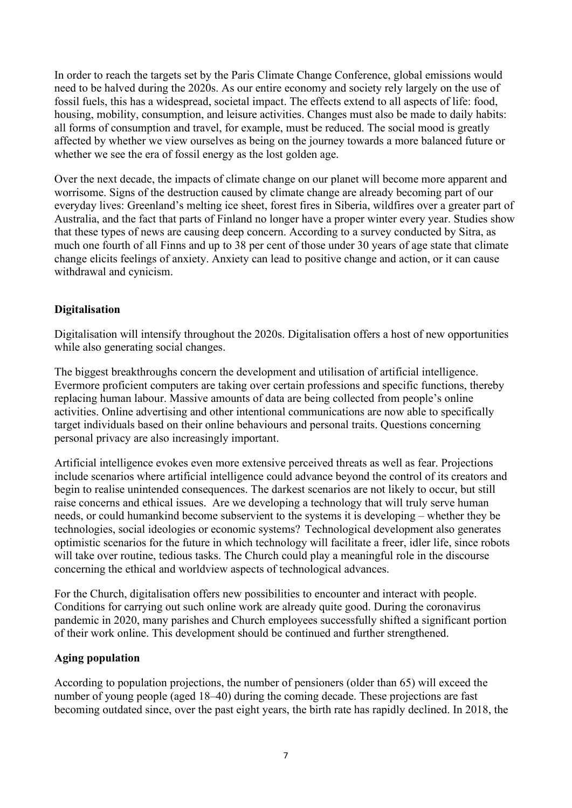In order to reach the targets set by the Paris Climate Change Conference, global emissions would need to be halved during the 2020s. As our entire economy and society rely largely on the use of fossil fuels, this has a widespread, societal impact. The effects extend to all aspects of life: food, housing, mobility, consumption, and leisure activities. Changes must also be made to daily habits: all forms of consumption and travel, for example, must be reduced. The social mood is greatly affected by whether we view ourselves as being on the journey towards a more balanced future or whether we see the era of fossil energy as the lost golden age.

Over the next decade, the impacts of climate change on our planet will become more apparent and worrisome. Signs of the destruction caused by climate change are already becoming part of our everyday lives: Greenland's melting ice sheet, forest fires in Siberia, wildfires over a greater part of Australia, and the fact that parts of Finland no longer have a proper winter every year. Studies show that these types of news are causing deep concern. According to a survey conducted by Sitra, as much one fourth of all Finns and up to 38 per cent of those under 30 years of age state that climate change elicits feelings of anxiety. Anxiety can lead to positive change and action, or it can cause withdrawal and cynicism.

## **Digitalisation**

Digitalisation will intensify throughout the 2020s. Digitalisation offers a host of new opportunities while also generating social changes.

The biggest breakthroughs concern the development and utilisation of artificial intelligence. Evermore proficient computers are taking over certain professions and specific functions, thereby replacing human labour. Massive amounts of data are being collected from people's online activities. Online advertising and other intentional communications are now able to specifically target individuals based on their online behaviours and personal traits. Questions concerning personal privacy are also increasingly important.

Artificial intelligence evokes even more extensive perceived threats as well as fear. Projections include scenarios where artificial intelligence could advance beyond the control of its creators and begin to realise unintended consequences. The darkest scenarios are not likely to occur, but still raise concerns and ethical issues. Are we developing a technology that will truly serve human needs, or could humankind become subservient to the systems it is developing – whether they be technologies, social ideologies or economic systems?  Technological development also generates optimistic scenarios for the future in which technology will facilitate a freer, idler life, since robots will take over routine, tedious tasks. The Church could play a meaningful role in the discourse concerning the ethical and worldview aspects of technological advances.

For the Church, digitalisation offers new possibilities to encounter and interact with people. Conditions for carrying out such online work are already quite good. During the coronavirus pandemic in 2020, many parishes and Church employees successfully shifted a significant portion of their work online. This development should be continued and further strengthened.

## **Aging population**

According to population projections, the number of pensioners (older than 65) will exceed the number of young people (aged 18–40) during the coming decade. These projections are fast becoming outdated since, over the past eight years, the birth rate has rapidly declined. In 2018, the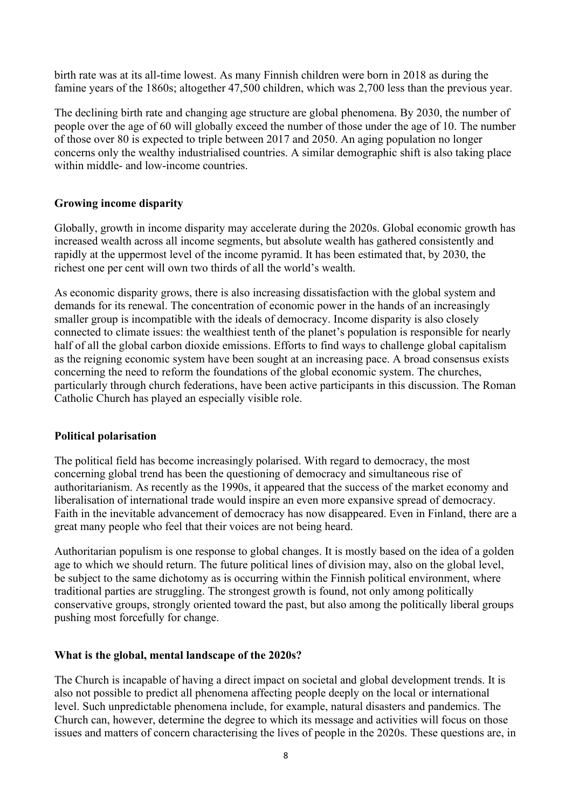birth rate was at its all-time lowest. As many Finnish children were born in 2018 as during the famine years of the 1860s; altogether 47,500 children, which was 2,700 less than the previous year.

The declining birth rate and changing age structure are global phenomena. By 2030, the number of people over the age of 60 will globally exceed the number of those under the age of 10. The number of those over 80 is expected to triple between 2017 and 2050. An aging population no longer concerns only the wealthy industrialised countries. A similar demographic shift is also taking place within middle- and low-income countries.

## **Growing income disparity**

Globally, growth in income disparity may accelerate during the 2020s. Global economic growth has increased wealth across all income segments, but absolute wealth has gathered consistently and rapidly at the uppermost level of the income pyramid. It has been estimated that, by 2030, the richest one per cent will own two thirds of all the world's wealth.

As economic disparity grows, there is also increasing dissatisfaction with the global system and demands for its renewal. The concentration of economic power in the hands of an increasingly smaller group is incompatible with the ideals of democracy. Income disparity is also closely connected to climate issues: the wealthiest tenth of the planet's population is responsible for nearly half of all the global carbon dioxide emissions. Efforts to find ways to challenge global capitalism as the reigning economic system have been sought at an increasing pace. A broad consensus exists concerning the need to reform the foundations of the global economic system. The churches, particularly through church federations, have been active participants in this discussion. The Roman Catholic Church has played an especially visible role.

## **Political polarisation**

The political field has become increasingly polarised. With regard to democracy, the most concerning global trend has been the questioning of democracy and simultaneous rise of authoritarianism. As recently as the 1990s, it appeared that the success of the market economy and liberalisation of international trade would inspire an even more expansive spread of democracy. Faith in the inevitable advancement of democracy has now disappeared. Even in Finland, there are a great many people who feel that their voices are not being heard.

Authoritarian populism is one response to global changes. It is mostly based on the idea of a golden age to which we should return. The future political lines of division may, also on the global level, be subject to the same dichotomy as is occurring within the Finnish political environment, where traditional parties are struggling. The strongest growth is found, not only among politically conservative groups, strongly oriented toward the past, but also among the politically liberal groups pushing most forcefully for change.

## **What is the global, mental landscape of the 2020s?**

The Church is incapable of having a direct impact on societal and global development trends. It is also not possible to predict all phenomena affecting people deeply on the local or international level. Such unpredictable phenomena include, for example, natural disasters and pandemics. The Church can, however, determine the degree to which its message and activities will focus on those issues and matters of concern characterising the lives of people in the 2020s. These questions are, in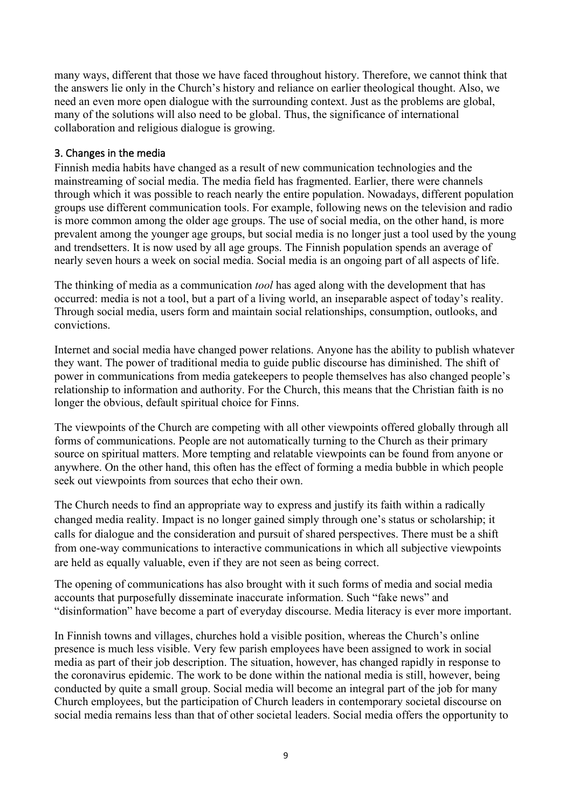many ways, different that those we have faced throughout history. Therefore, we cannot think that the answers lie only in the Church's history and reliance on earlier theological thought. Also, we need an even more open dialogue with the surrounding context. Just as the problems are global, many of the solutions will also need to be global. Thus, the significance of international collaboration and religious dialogue is growing.

## 3. Changes in the media

Finnish media habits have changed as a result of new communication technologies and the mainstreaming of social media. The media field has fragmented. Earlier, there were channels through which it was possible to reach nearly the entire population. Nowadays, different population groups use different communication tools. For example, following news on the television and radio is more common among the older age groups. The use of social media, on the other hand, is more prevalent among the younger age groups, but social media is no longer just a tool used by the young and trendsetters. It is now used by all age groups. The Finnish population spends an average of nearly seven hours a week on social media. Social media is an ongoing part of all aspects of life.

The thinking of media as a communication *tool* has aged along with the development that has occurred: media is not a tool, but a part of a living world, an inseparable aspect of today's reality. Through social media, users form and maintain social relationships, consumption, outlooks, and convictions.

Internet and social media have changed power relations. Anyone has the ability to publish whatever they want. The power of traditional media to guide public discourse has diminished. The shift of power in communications from media gatekeepers to people themselves has also changed people's relationship to information and authority. For the Church, this means that the Christian faith is no longer the obvious, default spiritual choice for Finns.

The viewpoints of the Church are competing with all other viewpoints offered globally through all forms of communications. People are not automatically turning to the Church as their primary source on spiritual matters. More tempting and relatable viewpoints can be found from anyone or anywhere. On the other hand, this often has the effect of forming a media bubble in which people seek out viewpoints from sources that echo their own.

The Church needs to find an appropriate way to express and justify its faith within a radically changed media reality. Impact is no longer gained simply through one's status or scholarship; it calls for dialogue and the consideration and pursuit of shared perspectives. There must be a shift from one-way communications to interactive communications in which all subjective viewpoints are held as equally valuable, even if they are not seen as being correct.

The opening of communications has also brought with it such forms of media and social media accounts that purposefully disseminate inaccurate information. Such "fake news" and "disinformation" have become a part of everyday discourse. Media literacy is ever more important.

In Finnish towns and villages, churches hold a visible position, whereas the Church's online presence is much less visible. Very few parish employees have been assigned to work in social media as part of their job description. The situation, however, has changed rapidly in response to the coronavirus epidemic. The work to be done within the national media is still, however, being conducted by quite a small group. Social media will become an integral part of the job for many Church employees, but the participation of Church leaders in contemporary societal discourse on social media remains less than that of other societal leaders. Social media offers the opportunity to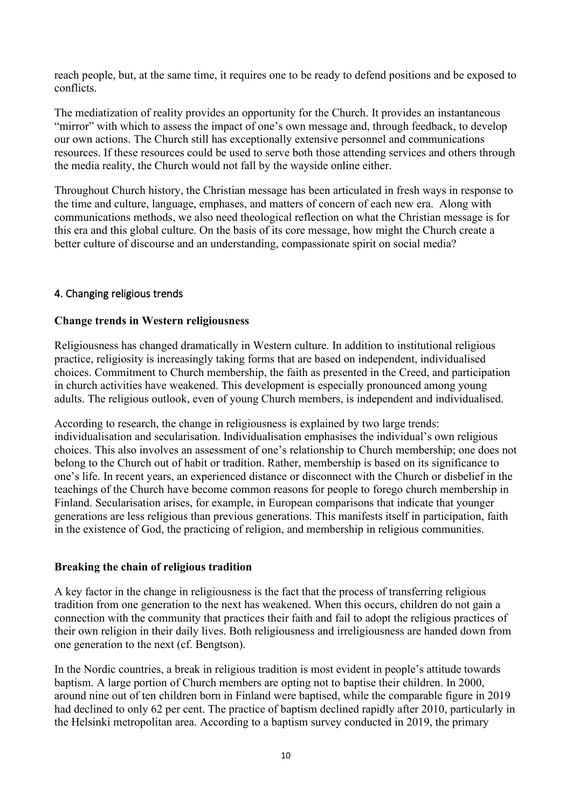reach people, but, at the same time, it requires one to be ready to defend positions and be exposed to conflicts.

The mediatization of reality provides an opportunity for the Church. It provides an instantaneous "mirror" with which to assess the impact of one's own message and, through feedback, to develop our own actions. The Church still has exceptionally extensive personnel and communications resources. If these resources could be used to serve both those attending services and others through the media reality, the Church would not fall by the wayside online either.

Throughout Church history, the Christian message has been articulated in fresh ways in response to the time and culture, language, emphases, and matters of concern of each new era. Along with communications methods, we also need theological reflection on what the Christian message is for this era and this global culture. On the basis of its core message, how might the Church create a better culture of discourse and an understanding, compassionate spirit on social media?

#### 4. Changing religious trends

#### **Change trends in Western religiousness**

Religiousness has changed dramatically in Western culture. In addition to institutional religious practice, religiosity is increasingly taking forms that are based on independent, individualised choices. Commitment to Church membership, the faith as presented in the Creed, and participation in church activities have weakened. This development is especially pronounced among young adults. The religious outlook, even of young Church members, is independent and individualised.

According to research, the change in religiousness is explained by two large trends: individualisation and secularisation. Individualisation emphasises the individual's own religious choices. This also involves an assessment of one's relationship to Church membership; one does not belong to the Church out of habit or tradition. Rather, membership is based on its significance to one's life. In recent years, an experienced distance or disconnect with the Church or disbelief in the teachings of the Church have become common reasons for people to forego church membership in Finland. Secularisation arises, for example, in European comparisons that indicate that younger generations are less religious than previous generations. This manifests itself in participation, faith in the existence of God, the practicing of religion, and membership in religious communities.

#### **Breaking the chain of religious tradition**

A key factor in the change in religiousness is the fact that the process of transferring religious tradition from one generation to the next has weakened. When this occurs, children do not gain a connection with the community that practices their faith and fail to adopt the religious practices of their own religion in their daily lives. Both religiousness and irreligiousness are handed down from one generation to the next (cf. Bengtson).

In the Nordic countries, a break in religious tradition is most evident in people's attitude towards baptism. A large portion of Church members are opting not to baptise their children. In 2000, around nine out of ten children born in Finland were baptised, while the comparable figure in 2019 had declined to only 62 per cent. The practice of baptism declined rapidly after 2010, particularly in the Helsinki metropolitan area. According to a baptism survey conducted in 2019, the primary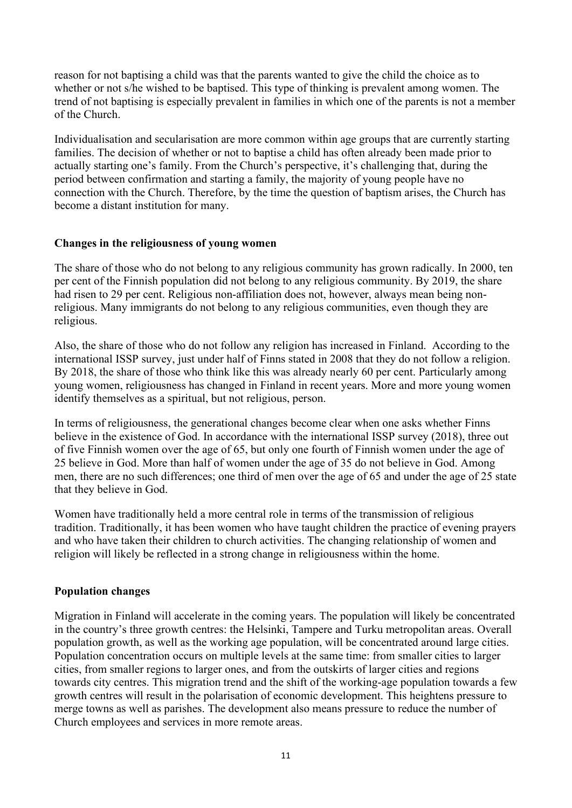reason for not baptising a child was that the parents wanted to give the child the choice as to whether or not s/he wished to be baptised. This type of thinking is prevalent among women. The trend of not baptising is especially prevalent in families in which one of the parents is not a member of the Church.

Individualisation and secularisation are more common within age groups that are currently starting families. The decision of whether or not to baptise a child has often already been made prior to actually starting one's family. From the Church's perspective, it's challenging that, during the period between confirmation and starting a family, the majority of young people have no connection with the Church. Therefore, by the time the question of baptism arises, the Church has become a distant institution for many.

#### **Changes in the religiousness of young women**

The share of those who do not belong to any religious community has grown radically. In 2000, ten per cent of the Finnish population did not belong to any religious community. By 2019, the share had risen to 29 per cent. Religious non-affiliation does not, however, always mean being nonreligious. Many immigrants do not belong to any religious communities, even though they are religious.

Also, the share of those who do not follow any religion has increased in Finland. According to the international ISSP survey, just under half of Finns stated in 2008 that they do not follow a religion. By 2018, the share of those who think like this was already nearly 60 per cent. Particularly among young women, religiousness has changed in Finland in recent years. More and more young women identify themselves as a spiritual, but not religious, person.

In terms of religiousness, the generational changes become clear when one asks whether Finns believe in the existence of God. In accordance with the international ISSP survey (2018), three out of five Finnish women over the age of 65, but only one fourth of Finnish women under the age of 25 believe in God. More than half of women under the age of 35 do not believe in God. Among men, there are no such differences; one third of men over the age of 65 and under the age of 25 state that they believe in God.

Women have traditionally held a more central role in terms of the transmission of religious tradition. Traditionally, it has been women who have taught children the practice of evening prayers and who have taken their children to church activities. The changing relationship of women and religion will likely be reflected in a strong change in religiousness within the home.

## **Population changes**

Migration in Finland will accelerate in the coming years. The population will likely be concentrated in the country's three growth centres: the Helsinki, Tampere and Turku metropolitan areas. Overall population growth, as well as the working age population, will be concentrated around large cities. Population concentration occurs on multiple levels at the same time: from smaller cities to larger cities, from smaller regions to larger ones, and from the outskirts of larger cities and regions towards city centres. This migration trend and the shift of the working-age population towards a few growth centres will result in the polarisation of economic development. This heightens pressure to merge towns as well as parishes. The development also means pressure to reduce the number of Church employees and services in more remote areas.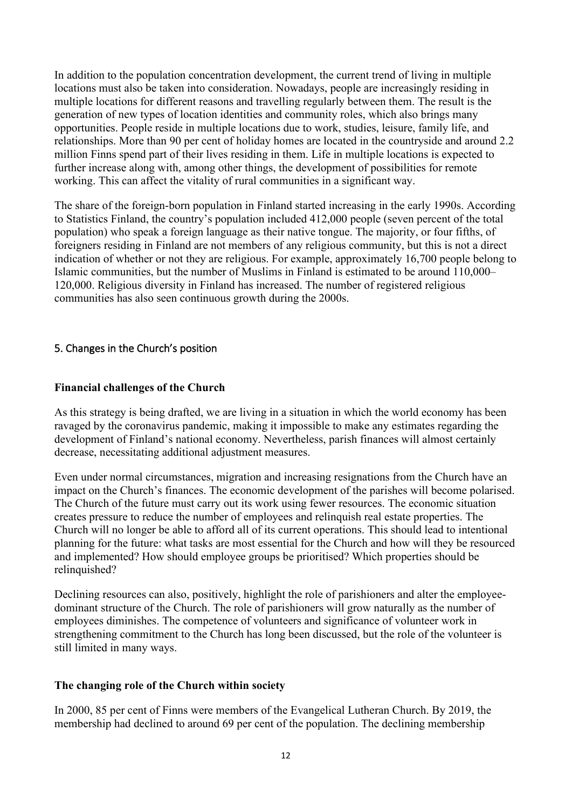In addition to the population concentration development, the current trend of living in multiple locations must also be taken into consideration. Nowadays, people are increasingly residing in multiple locations for different reasons and travelling regularly between them. The result is the generation of new types of location identities and community roles, which also brings many opportunities. People reside in multiple locations due to work, studies, leisure, family life, and relationships. More than 90 per cent of holiday homes are located in the countryside and around 2.2 million Finns spend part of their lives residing in them. Life in multiple locations is expected to further increase along with, among other things, the development of possibilities for remote working. This can affect the vitality of rural communities in a significant way.

The share of the foreign-born population in Finland started increasing in the early 1990s. According to Statistics Finland, the country's population included 412,000 people (seven percent of the total population) who speak a foreign language as their native tongue. The majority, or four fifths, of foreigners residing in Finland are not members of any religious community, but this is not a direct indication of whether or not they are religious. For example, approximately 16,700 people belong to Islamic communities, but the number of Muslims in Finland is estimated to be around 110,000– 120,000. Religious diversity in Finland has increased. The number of registered religious communities has also seen continuous growth during the 2000s.

## 5. Changes in the Church's position

#### **Financial challenges of the Church**

As this strategy is being drafted, we are living in a situation in which the world economy has been ravaged by the coronavirus pandemic, making it impossible to make any estimates regarding the development of Finland's national economy. Nevertheless, parish finances will almost certainly decrease, necessitating additional adjustment measures.

Even under normal circumstances, migration and increasing resignations from the Church have an impact on the Church's finances. The economic development of the parishes will become polarised. The Church of the future must carry out its work using fewer resources. The economic situation creates pressure to reduce the number of employees and relinquish real estate properties. The Church will no longer be able to afford all of its current operations. This should lead to intentional planning for the future: what tasks are most essential for the Church and how will they be resourced and implemented? How should employee groups be prioritised? Which properties should be relinquished?

Declining resources can also, positively, highlight the role of parishioners and alter the employeedominant structure of the Church. The role of parishioners will grow naturally as the number of employees diminishes. The competence of volunteers and significance of volunteer work in strengthening commitment to the Church has long been discussed, but the role of the volunteer is still limited in many ways.

#### **The changing role of the Church within society**

In 2000, 85 per cent of Finns were members of the Evangelical Lutheran Church. By 2019, the membership had declined to around 69 per cent of the population. The declining membership